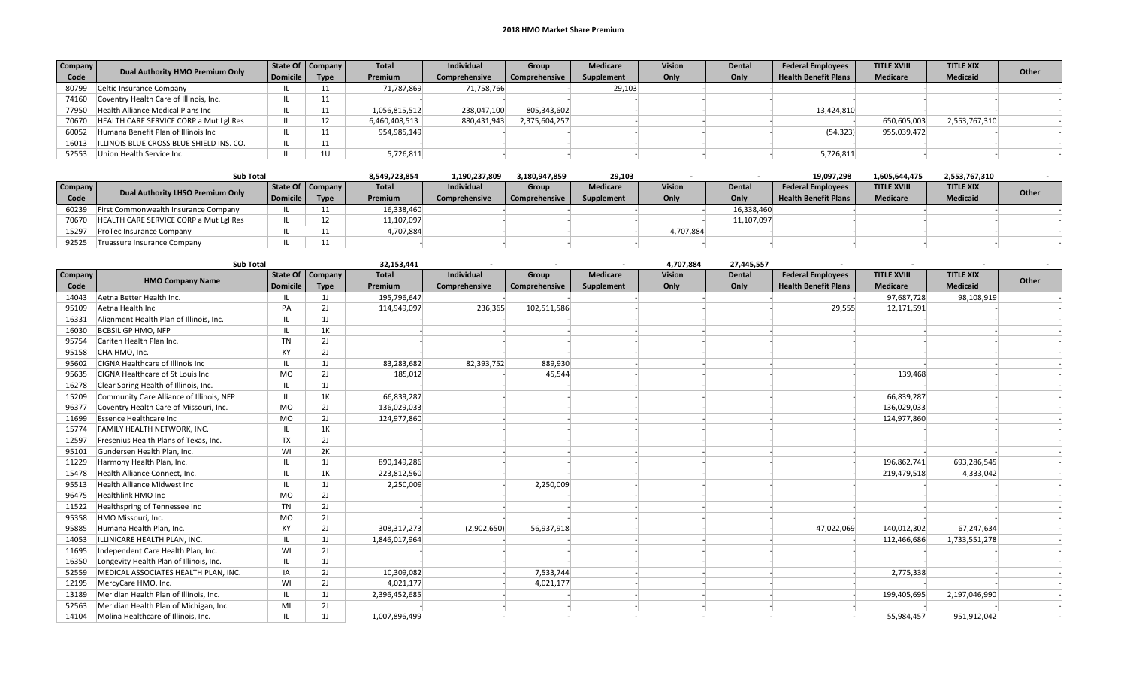## 2018 HMO Market Share Premium

| <b>Company</b> | Dual Authority HMO Premium Only          |          | State Of   Company | <b>Total</b>  | <b>Individual</b> | Group         | <b>Medicare</b> | <b>Vision</b> | <b>Dental</b> | <b>Federal Employees</b>    | <b>TITLE XVIII</b> | <b>TITLE XIX</b> | Other |
|----------------|------------------------------------------|----------|--------------------|---------------|-------------------|---------------|-----------------|---------------|---------------|-----------------------------|--------------------|------------------|-------|
| Code           |                                          | Domicile | <b>Type</b>        | Premium       | Comprehensive     | Comprehensive | Supplement      | Only          | Only          | <b>Health Benefit Plans</b> | <b>Medicare</b>    | <b>Medicaid</b>  |       |
| 80799          | Celtic Insurance Company                 |          | 11                 | 71,787,869    | 71,758,766        |               | 29,103          |               |               |                             |                    |                  |       |
| 74160          | Coventry Health Care of Illinois, Inc.   |          | 11                 |               |                   |               |                 |               |               |                             |                    |                  |       |
| 77950          | Health Alliance Medical Plans Inc        |          | 11                 | 1,056,815,512 | 238,047,100       | 805,343,602   |                 |               |               | 13,424,810                  |                    |                  |       |
| 70670          | HEALTH CARE SERVICE CORP a Mut Lgl Res   |          | 1つ                 | 6,460,408,513 | 880,431,943       | 2,375,604,257 |                 |               |               |                             | 650,605,003        | 2,553,767,310    |       |
| 60052          | Humana Benefit Plan of Illinois Inc      |          | 11                 | 954,985,149   |                   |               |                 |               |               | (54,323)                    | 955,039,472        |                  |       |
| 16013          | ILLINOIS BLUE CROSS BLUE SHIELD INS. CO. |          | 11                 |               |                   |               |                 |               |               |                             |                    |                  |       |
| 52553          | Union Health Service Inc                 |          | 1U                 | 5,726,811     |                   |               |                 |               |               | 5,726,811                   |                    |                  |       |

| <b>Sub Total</b> |                                        |          |                    | 8,549,723,854 | 1,190,237,809     | 3,180,947,859 | 29,103          |               |               | 19,097,298                  | 1,605,644,475      | 2,553,767,310    |       |
|------------------|----------------------------------------|----------|--------------------|---------------|-------------------|---------------|-----------------|---------------|---------------|-----------------------------|--------------------|------------------|-------|
| Company          | Dual Authority LHSO Premium Only       |          | State Of   Company | <b>Total</b>  | <b>Individual</b> | <b>Group</b>  | <b>Medicare</b> | <b>Vision</b> | <b>Dental</b> | <b>Federal Employees</b>    | <b>TITLE XVIII</b> | <b>TITLE XIX</b> |       |
| Code             |                                        | Domicile | <b>Type</b>        | Premium       | Comprehensive     | Comprehensive | Supplement      | Only          | Only          | <b>Health Benefit Plans</b> | <b>Medicare</b>    | <b>Medicaid</b>  | Other |
| 60239            | First Commonwealth Insurance Company   |          |                    | 16,338,460    |                   |               |                 |               | 16,338,460    |                             |                    |                  |       |
| 70670            | HEALTH CARE SERVICE CORP a Mut Lgl Res |          |                    | 11,107,097    |                   |               |                 |               | 11,107,097    |                             |                    |                  |       |
| 15297            | ProTec Insurance Company               |          |                    | 4,707,884     |                   |               |                 | 4,707,884     |               |                             |                    |                  |       |
| 92525            | Truassure Insurance Company            |          | . .                |               |                   |               |                 |               |               |                             |                    |                  |       |

|         | <b>Sub Total</b>                         |                 |                | 32,153,441    |               |               |                 | 4,707,884     | 27,445,557    |                             |                    |                  |       |
|---------|------------------------------------------|-----------------|----------------|---------------|---------------|---------------|-----------------|---------------|---------------|-----------------------------|--------------------|------------------|-------|
| Company | <b>HMO Company Name</b>                  | <b>State Of</b> | <b>Company</b> | <b>Total</b>  | Individual    | Group         | <b>Medicare</b> | <b>Vision</b> | <b>Dental</b> | <b>Federal Employees</b>    | <b>TITLE XVIII</b> | <b>TITLE XIX</b> | Other |
| Code    |                                          | <b>Domicile</b> | <b>Type</b>    | Premium       | Comprehensive | Comprehensive | Supplement      | Only          | Only          | <b>Health Benefit Plans</b> | <b>Medicare</b>    | <b>Medicaid</b>  |       |
| 14043   | Aetna Better Health Inc.                 |                 | 1J             | 195,796,647   |               |               |                 |               |               |                             | 97,687,728         | 98,108,919       |       |
| 95109   | Aetna Health Inc                         | PA              | 2J             | 114,949,097   | 236,365       | 102,511,586   |                 |               |               | 29,555                      | 12,171,591         |                  |       |
| 16331   | Alignment Health Plan of Illinois, Inc.  |                 | 1J             |               |               |               |                 |               |               |                             |                    |                  |       |
| 16030   | <b>BCBSIL GP HMO, NFP</b>                | $\mathbf{H}$    | 1K             |               |               |               |                 |               |               |                             |                    |                  |       |
| 95754   | Cariten Health Plan Inc.                 | <b>TN</b>       | 2J             |               |               |               |                 |               |               |                             |                    |                  |       |
| 95158   | CHA HMO, Inc.                            | KY              | 2J             |               |               |               |                 |               |               |                             |                    |                  |       |
| 95602   | CIGNA Healthcare of Illinois Inc         |                 | 1J             | 83,283,682    | 82,393,752    | 889,930       |                 |               |               |                             |                    |                  |       |
| 95635   | CIGNA Healthcare of St Louis Inc         | <b>MO</b>       | 2J             | 185,012       |               | 45,544        |                 |               |               |                             | 139,468            |                  |       |
| 16278   | Clear Spring Health of Illinois, Inc.    |                 | 1J             |               |               |               |                 |               |               |                             |                    |                  |       |
| 15209   | Community Care Alliance of Illinois, NFP | IL              | 1K             | 66,839,287    |               |               |                 |               |               |                             | 66,839,287         |                  |       |
| 96377   | Coventry Health Care of Missouri, Inc.   | MO              | 2J             | 136,029,033   |               |               |                 |               |               |                             | 136,029,033        |                  |       |
| 11699   | <b>Essence Healthcare Inc</b>            | MO              | 2J             | 124,977,860   |               |               |                 |               |               |                             | 124,977,860        |                  |       |
| 15774   | <b>FAMILY HEALTH NETWORK, INC.</b>       |                 | 1K             |               |               |               |                 |               |               |                             |                    |                  |       |
| 12597   | Fresenius Health Plans of Texas, Inc.    | TX              | 2J             |               |               |               |                 |               |               |                             |                    |                  |       |
| 95101   | Gundersen Health Plan, Inc.              | WI              | 2K             |               |               |               |                 |               |               |                             |                    |                  |       |
| 11229   | Harmony Health Plan, Inc.                |                 | 1J             | 890,149,286   |               |               |                 |               |               |                             | 196,862,741        | 693,286,545      |       |
| 15478   | Health Alliance Connect, Inc.            |                 | 1K             | 223,812,560   |               |               |                 |               |               |                             | 219,479,518        | 4,333,042        |       |
| 95513   | <b>Health Alliance Midwest Inc</b>       |                 | 1J             | 2,250,009     |               | 2,250,009     |                 |               |               |                             |                    |                  |       |
| 96475   | <b>Healthlink HMO Inc</b>                | <b>MO</b>       | 2J             |               |               |               |                 |               |               |                             |                    |                  |       |
| 11522   | Healthspring of Tennessee Inc            | <b>TN</b>       | 2J             |               |               |               |                 |               |               |                             |                    |                  |       |
| 95358   | HMO Missouri, Inc.                       | MO              | 2J             |               |               |               |                 |               |               |                             |                    |                  |       |
| 95885   | Humana Health Plan, Inc.                 | KY              | 2J             | 308, 317, 273 | (2,902,650)   | 56,937,918    |                 |               |               | 47,022,069                  | 140,012,302        | 67,247,634       |       |
| 14053   | ILLINICARE HEALTH PLAN. INC.             | Ш.              | 1J             | 1,846,017,964 |               |               |                 |               |               |                             | 112,466,686        | 1,733,551,278    |       |
| 11695   | Independent Care Health Plan, Inc.       | WI              | 2J             |               |               |               |                 |               |               |                             |                    |                  |       |
| 16350   | Longevity Health Plan of Illinois, Inc.  |                 | 1J             |               |               |               |                 |               |               |                             |                    |                  |       |
| 52559   | MEDICAL ASSOCIATES HEALTH PLAN, INC.     | IA              | 2J             | 10,309,082    |               | 7,533,744     |                 |               |               |                             | 2,775,338          |                  |       |
| 12195   | MercyCare HMO, Inc.                      | WI              | 2J             | 4,021,177     |               | 4,021,177     |                 |               |               |                             |                    |                  |       |
| 13189   | Meridian Health Plan of Illinois, Inc.   |                 | 1J             | 2,396,452,685 |               |               |                 |               |               |                             | 199,405,695        | 2,197,046,990    |       |
| 52563   | Meridian Health Plan of Michigan, Inc.   | MI              | 2J             |               |               |               |                 |               |               |                             |                    |                  |       |
| 14104   | Molina Healthcare of Illinois, Inc.      |                 | 1J             | 1,007,896,499 |               |               |                 |               |               |                             | 55,984,457         | 951,912,042      |       |